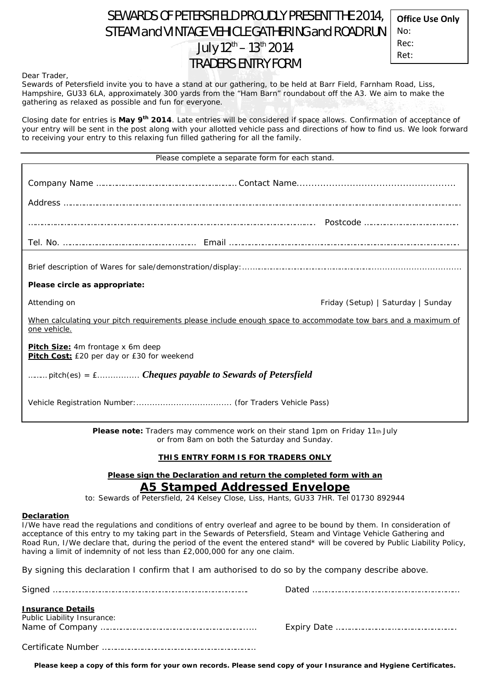# SEWARDS OF PETERSFIELD PROUDLY PRESENT THE 2014, STEAM and VINTAGE VEHICLE GATHERING and ROAD RUN July 12<sup>th</sup> – 13<sup>th</sup> 2014 TRADERS ENTRY FORM

**Office Use Only** No: Rec: Ret:

Dear Trader,

Sewards of Petersfield invite you to have a stand at our gathering, to be held at Barr Field, Farnham Road, Liss, Hampshire, GU33 6LA, approximately 300 yards from the "Ham Barn" roundabout off the A3. We aim to make the gathering as relaxed as possible and fun for everyone.

Closing date for entries is **May 9th 2014**. Late entries will be considered if space allows. Confirmation of acceptance of your entry will be sent in the post along with your allotted vehicle pass and directions of how to find us. We look forward to receiving your entry to this relaxing fun filled gathering for all the family.

| Please complete a separate form for each stand.                                                                               |  |  |
|-------------------------------------------------------------------------------------------------------------------------------|--|--|
|                                                                                                                               |  |  |
|                                                                                                                               |  |  |
|                                                                                                                               |  |  |
| Please circle as appropriate:                                                                                                 |  |  |
| Attending on<br>Friday (Setup)   Saturday   Sunday                                                                            |  |  |
| When calculating your pitch requirements please include enough space to accommodate tow bars and a maximum of<br>one vehicle. |  |  |
| <b>Pitch Size:</b> 4m frontage x 6m deep<br>Pitch Cost: £20 per day or £30 for weekend                                        |  |  |
| pitch(es) = $f$ Cheques payable to Sewards of Petersfield                                                                     |  |  |
|                                                                                                                               |  |  |

**Please note:** Traders may commence work on their stand 1pm on Friday 11th July or from 8am on both the Saturday and Sunday.

### **THIS ENTRY FORM IS FOR TRADERS ONLY**

## **Please sign the Declaration and return the completed form with an**  *A5 Stamped Addressed Envelope*

to: Sewards of Petersfield, 24 Kelsey Close, Liss, Hants, GU33 7HR. Tel 01730 892944

### **Declaration**

I/We have read the regulations and conditions of entry overleaf and agree to be bound by them. In consideration of acceptance of this entry to my taking part in the Sewards of Petersfield, Steam and Vintage Vehicle Gathering and Road Run, I/We declare that, during the period of the event the entered stand\* will be covered by Public Liability Policy, having a limit of indemnity of not less than £2,000,000 for any one claim.

By signing this declaration I confirm that I am authorised to do so by the company describe above.

| <b>Insurance Details</b><br>Public Liability Insurance: |  |
|---------------------------------------------------------|--|
|                                                         |  |

**Please keep a copy of this form for your own records. Please send copy of your Insurance and Hygiene Certificates.**